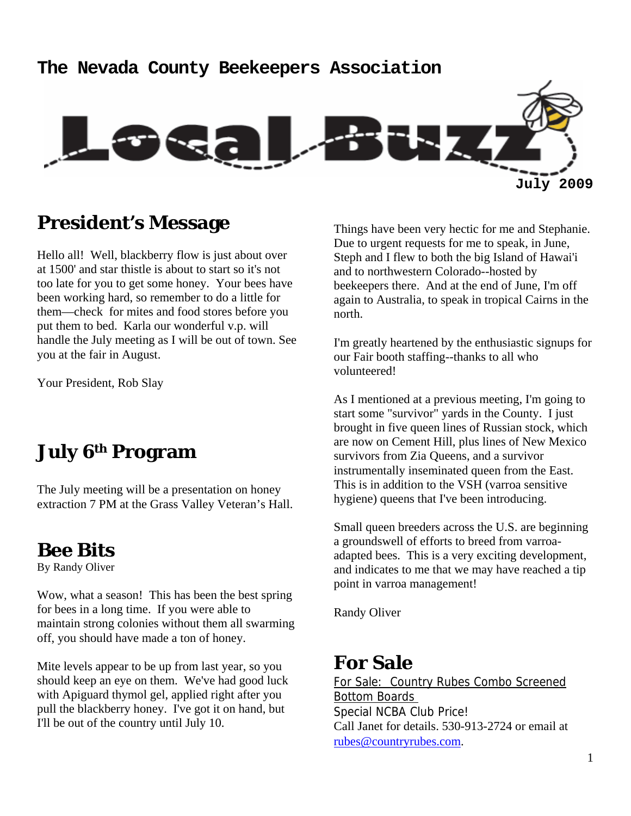# **The Nevada County Beekeepers Association July 2009**

#### **President's Message**

Hello all! Well, blackberry flow is just about over at 1500' and star thistle is about to start so it's not too late for you to get some honey. Your bees have been working hard, so remember to do a little for them—check for mites and food stores before you put them to bed. Karla our wonderful v.p. will handle the July meeting as I will be out of town. See you at the fair in August.

Your President, Rob Slay

## **July 6th Program**

The July meeting will be a presentation on honey extraction 7 PM at the Grass Valley Veteran's Hall.

#### **Bee Bits**

By Randy Oliver

Wow, what a season! This has been the best spring for bees in a long time. If you were able to maintain strong colonies without them all swarming off, you should have made a ton of honey.

Mite levels appear to be up from last year, so you should keep an eye on them. We've had good luck with Apiguard thymol gel, applied right after you pull the blackberry honey. I've got it on hand, but I'll be out of the country until July 10.

Things have been very hectic for me and Stephanie. Due to urgent requests for me to speak, in June, Steph and I flew to both the big Island of Hawai'i and to northwestern Colorado--hosted by beekeepers there. And at the end of June, I'm off again to Australia, to speak in tropical Cairns in the north.

I'm greatly heartened by the enthusiastic signups for our Fair booth staffing--thanks to all who volunteered!

As I mentioned at a previous meeting, I'm going to start some "survivor" yards in the County. I just brought in five queen lines of Russian stock, which are now on Cement Hill, plus lines of New Mexico survivors from Zia Queens, and a survivor instrumentally inseminated queen from the East. This is in addition to the VSH (varroa sensitive hygiene) queens that I've been introducing.

Small queen breeders across the U.S. are beginning a groundswell of efforts to breed from varroaadapted bees. This is a very exciting development, and indicates to me that we may have reached a tip point in varroa management!

Randy Oliver

### **For Sale**

For Sale: Country Rubes Combo Screened Bottom Boards Special NCBA Club Price! Call Janet for details. 530-913-2724 or email at rubes@countryrubes.com.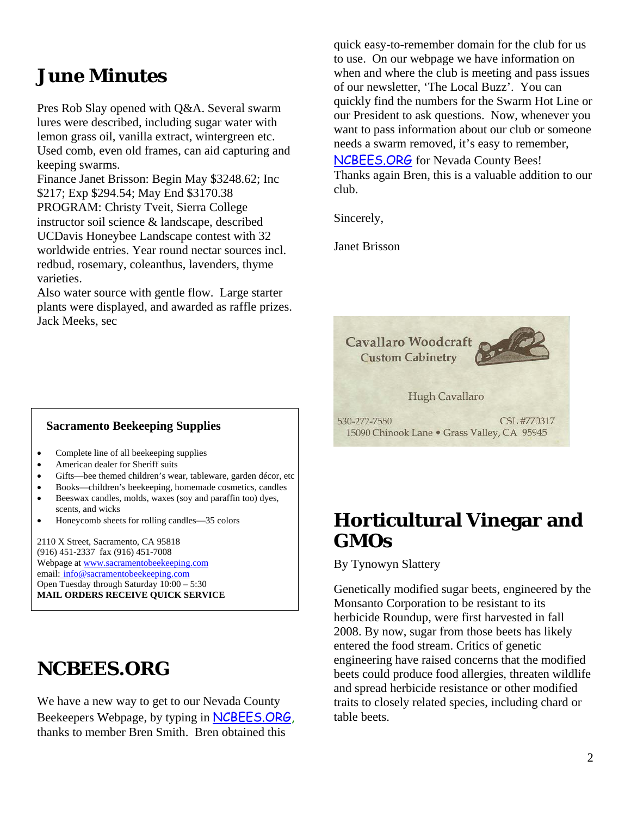#### **June Minutes**

Pres Rob Slay opened with Q&A. Several swarm lures were described, including sugar water with lemon grass oil, vanilla extract, wintergreen etc. Used comb, even old frames, can aid capturing and keeping swarms.

Finance Janet Brisson: Begin May \$3248.62; Inc \$217; Exp \$294.54; May End \$3170.38 PROGRAM: Christy Tveit, Sierra College instructor soil science & landscape, described UCDavis Honeybee Landscape contest with 32 worldwide entries. Year round nectar sources incl. redbud, rosemary, coleanthus, lavenders, thyme varieties.

Also water source with gentle flow. Large starter plants were displayed, and awarded as raffle prizes. Jack Meeks, sec

 **Sacramento Beekeeping Supplies** 

- Complete line of all beekeeping supplies
- American dealer for Sheriff suits
- Gifts—bee themed children's wear, tableware, garden décor, etc
- Books—children's beekeeping, homemade cosmetics, candles
- Beeswax candles, molds, waxes (soy and paraffin too) dyes, scents, and wicks
- Honeycomb sheets for rolling candles—35 colors

2110 X Street, Sacramento, CA 95818 (916) 451-2337 fax (916) 451-7008 Webpage at www.sacramentobeekeeping.com email: info@sacramentobeekeeping.com Open Tuesday through Saturday 10:00 – 5:30 **MAIL ORDERS RECEIVE QUICK SERVICE** 

#### **NCBEES.ORG**

We have a new way to get to our Nevada County Beekeepers Webpage, by typing in NCBEES.ORG, thanks to member Bren Smith. Bren obtained this

quick easy-to-remember domain for the club for us to use. On our webpage we have information on when and where the club is meeting and pass issues of our newsletter, 'The Local Buzz'. You can quickly find the numbers for the Swarm Hot Line or our President to ask questions. Now, whenever you want to pass information about our club or someone needs a swarm removed, it's easy to remember,

NCBEES.ORG for Nevada County Bees! Thanks again Bren, this is a valuable addition to our club.

Sincerely,

Janet Brisson



#### **Horticultural Vinegar and GMOs**

By Tynowyn Slattery

Genetically modified sugar beets, engineered by the Monsanto Corporation to be resistant to its herbicide Roundup, were first harvested in fall 2008. By now, sugar from those beets has likely entered the food stream. Critics of genetic engineering have raised concerns that the modified beets could produce food allergies, threaten wildlife and spread herbicide resistance or other modified traits to closely related species, including chard or table beets.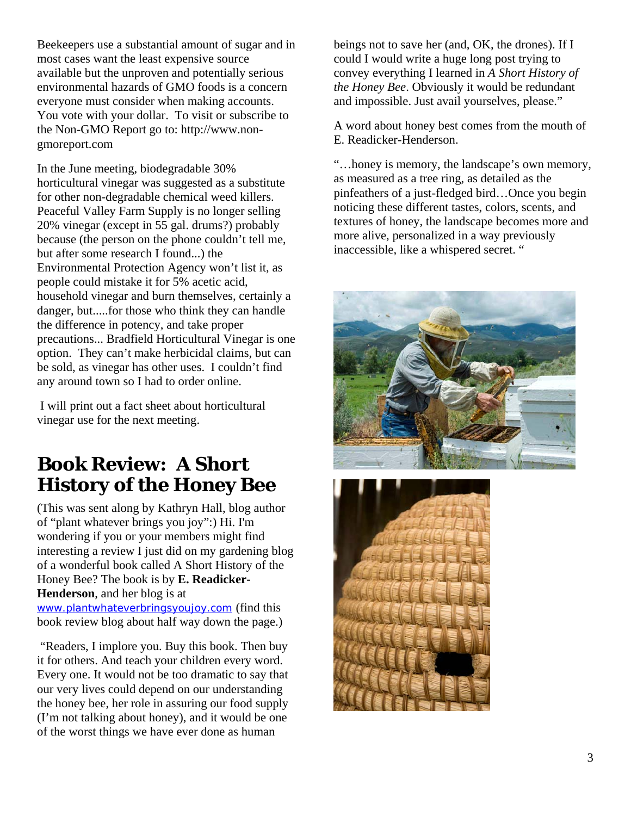Beekeepers use a substantial amount of sugar and in most cases want the least expensive source available but the unproven and potentially serious environmental hazards of GMO foods is a concern everyone must consider when making accounts. You vote with your dollar. To visit or subscribe to the Non-GMO Report go to: http://www.nongmoreport.com

In the June meeting, biodegradable 30% horticultural vinegar was suggested as a substitute for other non-degradable chemical weed killers. Peaceful Valley Farm Supply is no longer selling 20% vinegar (except in 55 gal. drums?) probably because (the person on the phone couldn't tell me, but after some research I found...) the Environmental Protection Agency won't list it, as people could mistake it for 5% acetic acid, household vinegar and burn themselves, certainly a danger, but.....for those who think they can handle the difference in potency, and take proper precautions... Bradfield Horticultural Vinegar is one option. They can't make herbicidal claims, but can be sold, as vinegar has other uses. I couldn't find any around town so I had to order online.

 I will print out a fact sheet about horticultural vinegar use for the next meeting.

#### **Book Review: A Short History of the Honey Bee**

(This was sent along by Kathryn Hall, blog author of "plant whatever brings you joy":) Hi. I'm wondering if you or your members might find interesting a review I just did on my gardening blog of a wonderful book called A Short History of the Honey Bee? The book is by **E. Readicker-Henderson**, and her blog is at

www.plantwhateverbringsyoujoy.com (find this book review blog about half way down the page.)

 "Readers, I implore you. Buy this book. Then buy it for others. And teach your children every word. Every one. It would not be too dramatic to say that our very lives could depend on our understanding the honey bee, her role in assuring our food supply (I'm not talking about honey), and it would be one of the worst things we have ever done as human

beings not to save her (and, OK, the drones). If I could I would write a huge long post trying to convey everything I learned in *A Short History of the Honey Bee*. Obviously it would be redundant and impossible. Just avail yourselves, please."

A word about honey best comes from the mouth of E. Readicker-Henderson.

"…honey is memory, the landscape's own memory, as measured as a tree ring, as detailed as the pinfeathers of a just-fledged bird…Once you begin noticing these different tastes, colors, scents, and textures of honey, the landscape becomes more and more alive, personalized in a way previously inaccessible, like a whispered secret. "